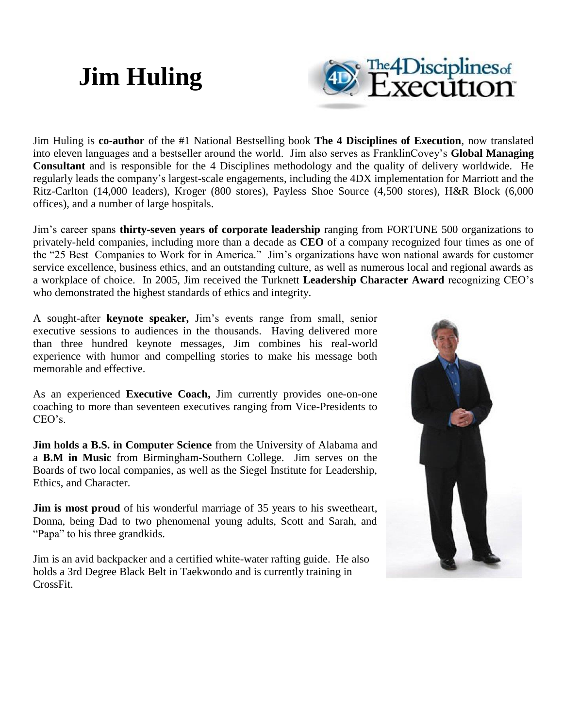

Jim Huling is **co-author** of the #1 National Bestselling book **The 4 Disciplines of Execution**, now translated into eleven languages and a bestseller around the world. Jim also serves as FranklinCovey's **Global Managing Consultant** and is responsible for the 4 Disciplines methodology and the quality of delivery worldwide. He regularly leads the company's largest-scale engagements, including the 4DX implementation for Marriott and the Ritz-Carlton (14,000 leaders), Kroger (800 stores), Payless Shoe Source (4,500 stores), H&R Block (6,000 offices), and a number of large hospitals.

Jim's career spans **thirty-seven years of corporate leadership** ranging from FORTUNE 500 organizations to privately-held companies, including more than a decade as **CEO** of a company recognized four times as one of the "25 Best Companies to Work for in America." Jim's organizations have won national awards for customer service excellence, business ethics, and an outstanding culture, as well as numerous local and regional awards as a workplace of choice. In 2005, Jim received the Turknett **Leadership Character Award** recognizing CEO's who demonstrated the highest standards of ethics and integrity.

A sought-after **keynote speaker,** Jim's events range from small, senior executive sessions to audiences in the thousands. Having delivered more than three hundred keynote messages, Jim combines his real-world experience with humor and compelling stories to make his message both memorable and effective.

As an experienced **Executive Coach,** Jim currently provides one-on-one coaching to more than seventeen executives ranging from Vice-Presidents to CEO's.

**Jim holds a B.S. in Computer Science** from the University of Alabama and a **B.M in Music** from Birmingham-Southern College. Jim serves on the Boards of two local companies, as well as the Siegel Institute for Leadership, Ethics, and Character.

**Jim is most proud** of his wonderful marriage of 35 years to his sweetheart, Donna, being Dad to two phenomenal young adults, Scott and Sarah, and "Papa" to his three grandkids.

Jim is an avid backpacker and a certified white-water rafting guide. He also holds a 3rd Degree Black Belt in Taekwondo and is currently training in CrossFit.

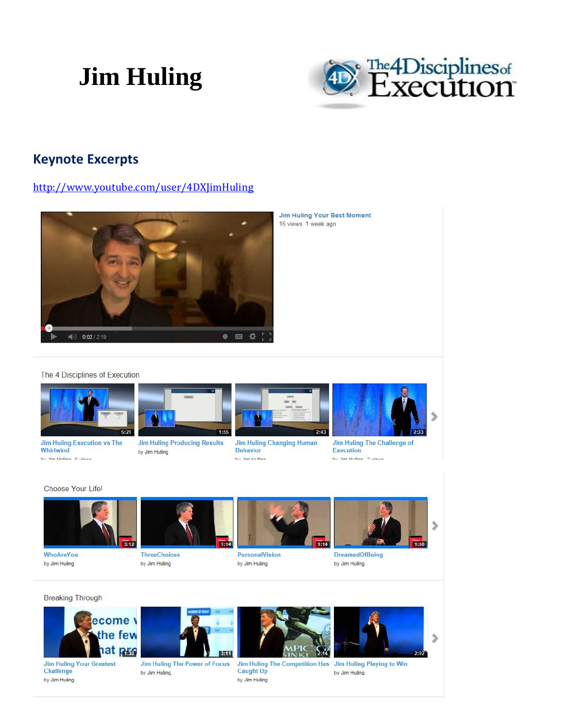

### **Keynote Excerpts**

http://www.youtube.com/user/4DXJimHuling



**Jim Huling Your Best Moment** 16 views 1 week ago

#### The 4 Disciplines of Execution



**Jim Huling Execution vs The Whirlwind** hu lim Hulinn A viewe



**Jim Huling Producing Results** by Jim Huling



**Jim Huling Changing Human Behavior** by Jim Huling



Jim Huling The Challenge of **Execution** hu lim Hulinn 2 views

Choose Your Lifel



WhoAreYou by Jim Huling

Challenge

by Jim Huling



**ThreeChoices** by Jim Huling



**PersonalVision** by Jim Huling



**DreamedOfBeing** by Jim Huling







Jim Huling The Power of Focus by Jim Huling



**Caught Up** by Jim Huling



by Jim Huling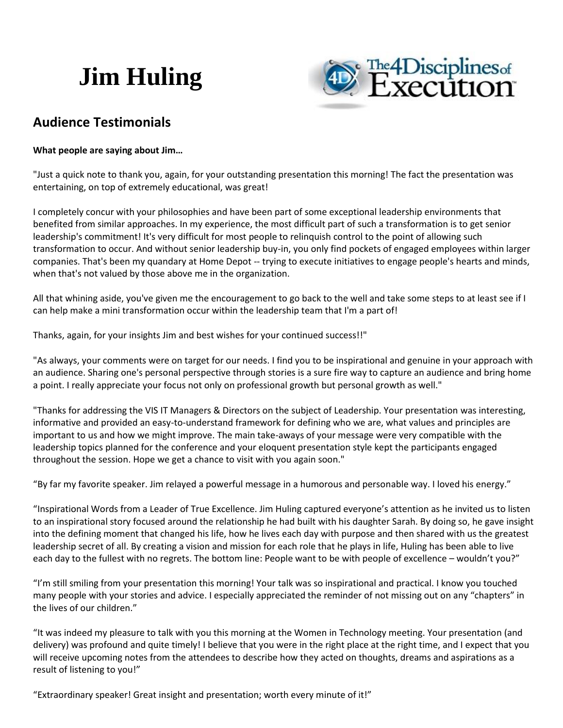

### **Audience Testimonials**

#### **What people are saying about Jim…**

"Just a quick note to thank you, again, for your outstanding presentation this morning! The fact the presentation was entertaining, on top of extremely educational, was great!

I completely concur with your philosophies and have been part of some exceptional leadership environments that benefited from similar approaches. In my experience, the most difficult part of such a transformation is to get senior leadership's commitment! It's very difficult for most people to relinquish control to the point of allowing such transformation to occur. And without senior leadership buy-in, you only find pockets of engaged employees within larger companies. That's been my quandary at Home Depot -- trying to execute initiatives to engage people's hearts and minds, when that's not valued by those above me in the organization.

All that whining aside, you've given me the encouragement to go back to the well and take some steps to at least see if I can help make a mini transformation occur within the leadership team that I'm a part of!

Thanks, again, for your insights Jim and best wishes for your continued success!!"

"As always, your comments were on target for our needs. I find you to be inspirational and genuine in your approach with an audience. Sharing one's personal perspective through stories is a sure fire way to capture an audience and bring home a point. I really appreciate your focus not only on professional growth but personal growth as well."

"Thanks for addressing the VIS IT Managers & Directors on the subject of Leadership. Your presentation was interesting, informative and provided an easy-to-understand framework for defining who we are, what values and principles are important to us and how we might improve. The main take-aways of your message were very compatible with the leadership topics planned for the conference and your eloquent presentation style kept the participants engaged throughout the session. Hope we get a chance to visit with you again soon."

"By far my favorite speaker. Jim relayed a powerful message in a humorous and personable way. I loved his energy."

"Inspirational Words from a Leader of True Excellence. Jim Huling captured everyone's attention as he invited us to listen to an inspirational story focused around the relationship he had built with his daughter Sarah. By doing so, he gave insight into the defining moment that changed his life, how he lives each day with purpose and then shared with us the greatest leadership secret of all. By creating a vision and mission for each role that he plays in life, Huling has been able to live each day to the fullest with no regrets. The bottom line: People want to be with people of excellence – wouldn't you?"

"I'm still smiling from your presentation this morning! Your talk was so inspirational and practical. I know you touched many people with your stories and advice. I especially appreciated the reminder of not missing out on any "chapters" in the lives of our children."

"It was indeed my pleasure to talk with you this morning at the Women in Technology meeting. Your presentation (and delivery) was profound and quite timely! I believe that you were in the right place at the right time, and I expect that you will receive upcoming notes from the attendees to describe how they acted on thoughts, dreams and aspirations as a result of listening to you!"

"Extraordinary speaker! Great insight and presentation; worth every minute of it!"